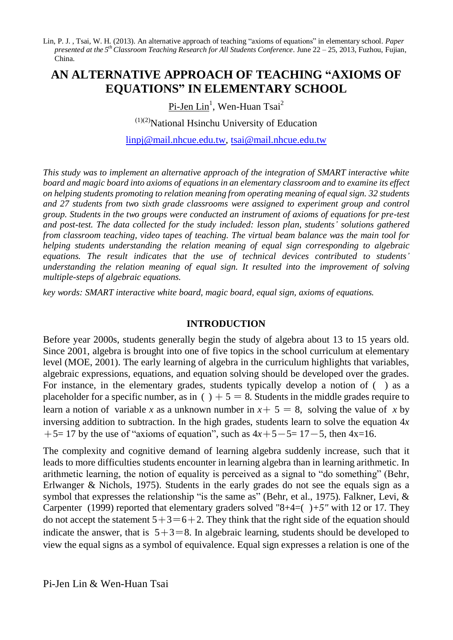Lin, P. J., Tsai, W. H. (2013). An alternative approach of teaching "axioms of equations" in elementary school. Paper *presented at the 5 thClassroom Teaching Research for All Students Conference.* June 22 – 25, 2013, Fuzhou, Fujian, China.

# **AN ALTERNATIVE APPROACH OF TEACHING "AXIOMS OF EQUATIONS" IN ELEMENTARY SCHOOL**

<u>Pi-Jen Lin<sup>1</sup>, Wen-Huan Tsai<sup>2</sup></u>

 $(1)(2)$ National Hsinchu University of Education

[linpj@mail.nhcue.edu.tw,](mailto:linpj@mail.nhcue.edu.tw) [tsai@mail.nhcue.edu.tw](mailto:tsai@mail.nhcue.edu.tw)

*This study was to implement an alternative approach of the integration of SMART interactive white board and magic board into axioms of equations in an elementary classroom and to examine its effect on helping students promoting to relation meaning from operating meaning of equal sign. 32 students and 27 students from two sixth grade classrooms were assigned to experiment group and control group. Students in the two groups were conducted an instrument of axioms of equations for pre-test and post-test. The data collected for the study included: lesson plan, students' solutions gathered from classroom teaching, video tapes of teaching. The virtual beam balance was the main tool for helping students understanding the relation meaning of equal sign corresponding to algebraic equations. The result indicates that the use of technical devices contributed to students' understanding the relation meaning of equal sign. It resulted into the improvement of solving multiple-steps of algebraic equations.* 

*key words: SMART interactive white board, magic board, equal sign, axioms of equations.*

#### **INTRODUCTION**

Before year 2000s, students generally begin the study of algebra about 13 to 15 years old. Since 2001, algebra is brought into one of five topics in the school curriculum at elementary level (MOE, 2001). The early learning of algebra in the curriculum highlights that variables, algebraic expressions, equations, and equation solving should be developed over the grades. For instance, in the elementary grades, students typically develop a notion of ( ) as a placeholder for a specific number, as in (  $+5 = 8$ . Students in the middle grades require to learn a notion of variable *x* as a unknown number in  $x + 5 = 8$ , solving the value of *x* by inversing addition to subtraction. In the high grades, students learn to solve the equation 4*x*  $+5= 17$  by the use of "axioms of equation", such as  $4x+5-5= 17-5$ , then  $4x=16$ .

The complexity and cognitive demand of learning algebra suddenly increase, such that it leads to more difficulties students encounter in learning algebra than in learning arithmetic. In arithmetic learning, the notion of equality is perceived as a signal to "do something" (Behr, Erlwanger & Nichols, 1975). Students in the early grades do not see the equals sign as a symbol that expresses the relationship "is the same as" (Behr, et al., 1975). Falkner, Levi,  $\&$ Carpenter (1999) reported that elementary graders solved "8+4=( )*+5"* with 12 or 17. They do not accept the statement  $5+3=6+2$ . They think that the right side of the equation should indicate the answer, that is  $5+3=8$ . In algebraic learning, students should be developed to view the equal signs as a symbol of equivalence. Equal sign expresses a relation is one of the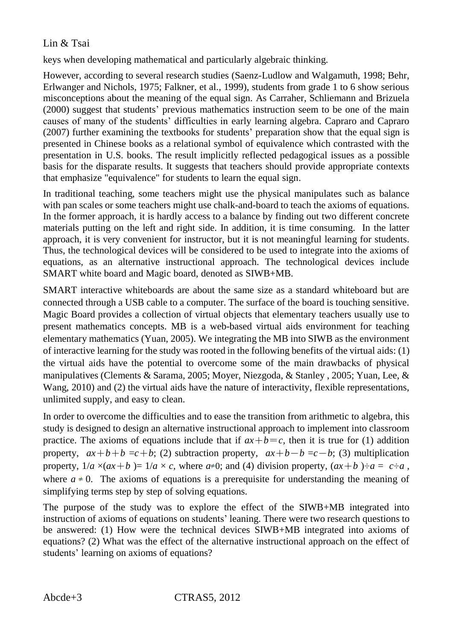keys when developing mathematical and particularly algebraic thinking.

However, according to several research studies (Saenz-Ludlow and Walgamuth, 1998; Behr, Erlwanger and Nichols, 1975; Falkner, et al., 1999), students from grade 1 to 6 show serious misconceptions about the meaning of the equal sign. As Carraher, Schliemann and Brizuela (2000) suggest that students' previous mathematics instruction seem to be one of the main causes of many of the students' difficulties in early learning algebra. Capraro and Capraro (2007) further examining the textbooks for students' preparation show that the equal sign is presented in Chinese books as a relational symbol of equivalence which contrasted with the presentation in U.S. books. The result implicitly reflected pedagogical issues as a possible basis for the disparate results. It suggests that teachers should provide appropriate contexts that emphasize "equivalence" for students to learn the equal sign.

In traditional teaching, some teachers might use the physical manipulates such as balance with pan scales or some teachers might use chalk-and-board to teach the axioms of equations. In the former approach, it is hardly access to a balance by finding out two different concrete materials putting on the left and right side. In addition, it is time consuming. In the latter approach, it is very convenient for instructor, but it is not meaningful learning for students. Thus, the technological devices will be considered to be used to integrate into the axioms of equations, as an alternative instructional approach. The technological devices include SMART white board and Magic board, denoted as SIWB+MB.

SMART interactive whiteboards are about the same size as a standard whiteboard but are connected through a USB cable to a computer. The surface of the board is touching sensitive. Magic Board provides a collection of virtual objects that elementary teachers usually use to present mathematics concepts. MB is a web-based virtual aids environment for teaching elementary mathematics (Yuan, 2005). We integrating the MB into SIWB as the environment of interactive learning for the study was rooted in the following benefits of the virtual aids: (1) the virtual aids have the potential to overcome some of the main drawbacks of physical manipulatives (Clements & Sarama, 2005; Moyer, Niezgoda, & Stanley , 2005; Yuan, Lee, & Wang, 2010) and (2) the virtual aids have the nature of interactivity, flexible representations, unlimited supply, and easy to clean.

In order to overcome the difficulties and to ease the transition from arithmetic to algebra, this study is designed to design an alternative instructional approach to implement into classroom practice. The axioms of equations include that if  $ax+b=c$ , then it is true for (1) addition property,  $ax+b+b=c+b$ ; (2) subtraction property,  $ax+b-b=c-b$ ; (3) multiplication property,  $1/a \times (ax + b) = 1/a \times c$ , where  $a \ne 0$ ; and (4) division property,  $(ax + b) \ne a = c \ne a$ , where  $a \neq 0$ . The axioms of equations is a prerequisite for understanding the meaning of simplifying terms step by step of solving equations.

The purpose of the study was to explore the effect of the SIWB+MB integrated into instruction of axioms of equations on students' leaning. There were two research questions to be answered: (1) How were the technical devices SIWB+MB integrated into axioms of equations? (2) What was the effect of the alternative instructional approach on the effect of students' learning on axioms of equations?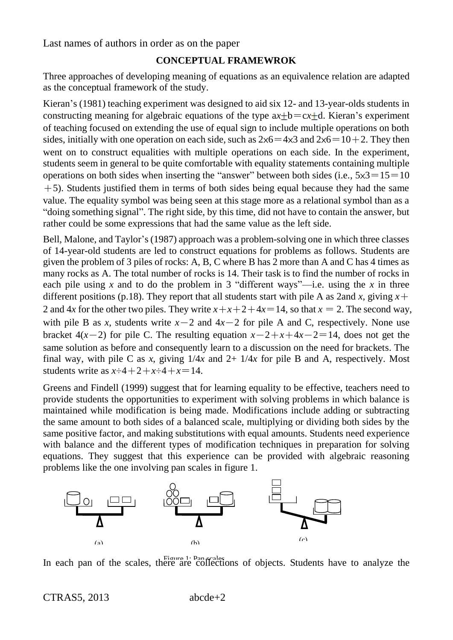### **CONCEPTUAL FRAMEWROK**

Three approaches of developing meaning of equations as an equivalence relation are adapted as the conceptual framework of the study.

Kieran's (1981) teaching experiment was designed to aid six 12- and 13-year-olds students in constructing meaning for algebraic equations of the type  $ax+b=cx+d$ . Kieran's experiment of teaching focused on extending the use of equal sign to include multiple operations on both sides, initially with one operation on each side, such as  $2\times 6 = 4\times 3$  and  $2\times 6 = 10+2$ . They then went on to construct equalities with multiple operations on each side. In the experiment, students seem in general to be quite comfortable with equality statements containing multiple operations on both sides when inserting the "answer" between both sides (i.e.,  $5 \times 3 = 15 = 10$  $+5$ ). Students justified them in terms of both sides being equal because they had the same value. The equality symbol was being seen at this stage more as a relational symbol than as a "doing something signal". The right side, by this time, did not have to contain the answer, but rather could be some expressions that had the same value as the left side.

Bell, Malone, and Taylor's (1987) approach was a problem-solving one in which three classes of 14-year-old students are led to construct equations for problems as follows. Students are given the problem of 3 piles of rocks: A, B, C where B has 2 more than A and C has 4 times as many rocks as A. The total number of rocks is 14. Their task is to find the number of rocks in each pile using x and to do the problem in 3 "different ways"—i.e. using the x in three different positions (p.18). They report that all students start with pile A as 2and *x*, giving  $x +$ 2 and 4*x* for the other two piles. They write  $x + x + 2 + 4x = 14$ , so that  $x = 2$ . The second way, with pile B as *x*, students write  $x-2$  and  $4x-2$  for pile A and C, respectively. None use bracket  $4(x-2)$  for pile C. The resulting equation  $x-2+x+4x-2=14$ , does not get the same solution as before and consequently learn to a discussion on the need for brackets. The final way, with pile C as *x*, giving  $1/4x$  and  $2+1/4x$  for pile B and A, respectively. Most students write as  $x\div 4 + 2 + x\div 4 + x = 14$ .

Greens and Findell (1999) suggest that for learning equality to be effective, teachers need to provide students the opportunities to experiment with solving problems in which balance is maintained while modification is being made. Modifications include adding or subtracting the same amount to both sides of a balanced scale, multiplying or dividing both sides by the same positive factor, and making substitutions with equal amounts. Students need experience with balance and the different types of modification techniques in preparation for solving equations. They suggest that this experience can be provided with algebraic reasoning problems like the one involving pan scales in figure 1.



In each pan of the scales, there are collections of objects. Students have to analyze the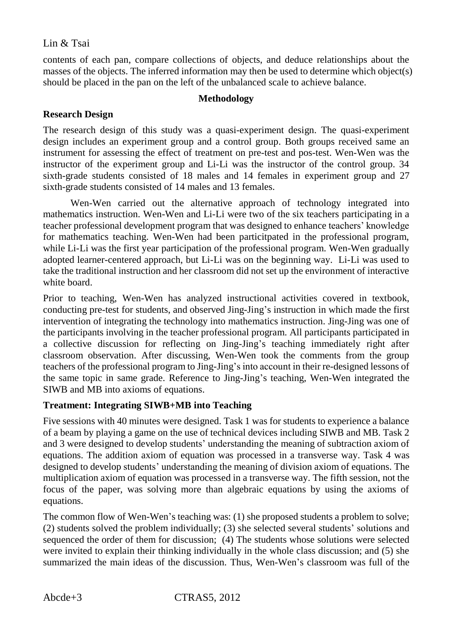contents of each pan, compare collections of objects, and deduce relationships about the masses of the objects. The inferred information may then be used to determine which object(s) should be placed in the pan on the left of the unbalanced scale to achieve balance.

#### **Methodology**

### **Research Design**

The research design of this study was a quasi-experiment design. The quasi-experiment design includes an experiment group and a control group. Both groups received same an instrument for assessing the effect of treatment on pre-test and pos-test. Wen-Wen was the instructor of the experiment group and Li-Li was the instructor of the control group. 34 sixth-grade students consisted of 18 males and 14 females in experiment group and 27 sixth-grade students consisted of 14 males and 13 females.

Wen-Wen carried out the alternative approach of technology integrated into mathematics instruction. Wen-Wen and Li-Li were two of the six teachers participating in a teacher professional development program that was designed to enhance teachers' knowledge for mathematics teaching. Wen-Wen had been particitpated in the professional program, while Li-Li was the first year participation of the professional program. Wen-Wen gradually adopted learner-centered approach, but Li-Li was on the beginning way. Li-Li was used to take the traditional instruction and her classroom did not set up the environment of interactive white board.

Prior to teaching, Wen-Wen has analyzed instructional activities covered in textbook, conducting pre-test for students, and observed Jing-Jing's instruction in which made the first intervention of integrating the technology into mathematics instruction. Jing-Jing was one of the participants involving in the teacher professional program. All participants participated in a collective discussion for reflecting on Jing-Jing's teaching immediately right after classroom observation. After discussing, Wen-Wen took the comments from the group teachers of the professional program to Jing-Jing's into account in their re-designed lessons of the same topic in same grade. Reference to Jing-Jing's teaching, Wen-Wen integrated the SIWB and MB into axioms of equations.

#### **Treatment: Integrating SIWB+MB into Teaching**

Five sessions with 40 minutes were designed. Task 1 was for students to experience a balance of a beam by playing a game on the use of technical devices including SIWB and MB. Task 2 and 3 were designed to develop students' understanding the meaning of subtraction axiom of equations. The addition axiom of equation was processed in a transverse way. Task 4 was designed to develop students' understanding the meaning of division axiom of equations. The multiplication axiom of equation was processed in a transverse way. The fifth session, not the focus of the paper, was solving more than algebraic equations by using the axioms of equations.

The common flow of Wen-Wen's teaching was: (1) she proposed students a problem to solve; (2) students solved the problem individually; (3) she selected several students' solutions and sequenced the order of them for discussion; (4) The students whose solutions were selected were invited to explain their thinking individually in the whole class discussion; and (5) she summarized the main ideas of the discussion. Thus, Wen-Wen's classroom was full of the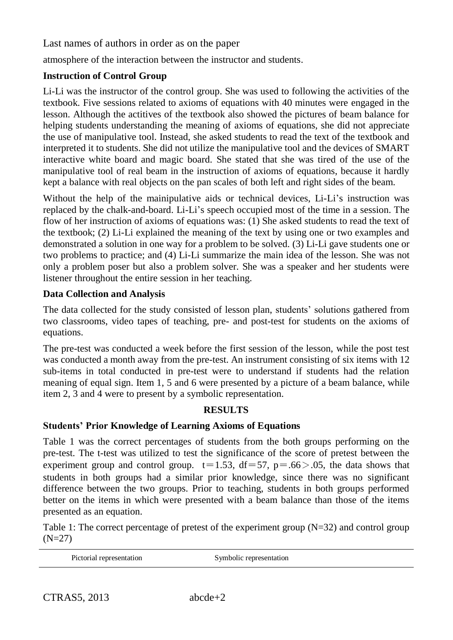atmosphere of the interaction between the instructor and students.

### **Instruction of Control Group**

Li-Li was the instructor of the control group. She was used to following the activities of the textbook. Five sessions related to axioms of equations with 40 minutes were engaged in the lesson. Although the actitives of the textbook also showed the pictures of beam balance for helping students understanding the meaning of axioms of equations, she did not appreciate the use of manipulative tool. Instead, she asked students to read the text of the textbook and interpreted it to students. She did not utilize the manipulative tool and the devices of SMART interactive white board and magic board. She stated that she was tired of the use of the manipulative tool of real beam in the instruction of axioms of equations, because it hardly kept a balance with real objects on the pan scales of both left and right sides of the beam.

Without the help of the mainipulative aids or technical devices, Li-Li's instruction was replaced by the chalk-and-board. Li-Li's speech occupied most of the time in a session. The flow of her instruction of axioms of equations was: (1) She asked students to read the text of the textbook; (2) Li-Li explained the meaning of the text by using one or two examples and demonstrated a solution in one way for a problem to be solved. (3) Li-Li gave students one or two problems to practice; and (4) Li-Li summarize the main idea of the lesson. She was not only a problem poser but also a problem solver. She was a speaker and her students were listener throughout the entire session in her teaching.

### **Data Collection and Analysis**

The data collected for the study consisted of lesson plan, students' solutions gathered from two classrooms, video tapes of teaching, pre- and post-test for students on the axioms of equations.

The pre-test was conducted a week before the first session of the lesson, while the post test was conducted a month away from the pre-test. An instrument consisting of six items with 12 sub-items in total conducted in pre-test were to understand if students had the relation meaning of equal sign. Item 1, 5 and 6 were presented by a picture of a beam balance, while item 2, 3 and 4 were to present by a symbolic representation.

#### **RESULTS**

#### **Students' Prior Knowledge of Learning Axioms of Equations**

Table 1 was the correct percentages of students from the both groups performing on the pre-test. The t-test was utilized to test the significance of the score of pretest between the experiment group and control group.  $t=1.53$ ,  $df=57$ ,  $p=.66>0.05$ , the data shows that students in both groups had a similar prior knowledge, since there was no significant difference between the two groups. Prior to teaching, students in both groups performed better on the items in which were presented with a beam balance than those of the items presented as an equation.

Table 1: The correct percentage of pretest of the experiment group (N=32) and control group  $(N=27)$ 

Pictorial representation Symbolic representation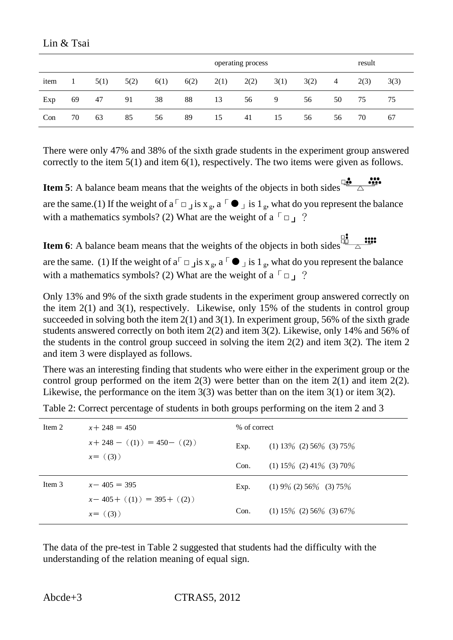|      |    |      |      |      |      |      | operating process |      |      |    |      | result |  |  |
|------|----|------|------|------|------|------|-------------------|------|------|----|------|--------|--|--|
| item |    | 5(1) | 5(2) | 6(1) | 6(2) | 2(1) | 2(2)              | 3(1) | 3(2) | 4  | 2(3) | 3(3)   |  |  |
| Exp  | 69 | 47   | 91   | 38   | 88   | 13   | 56                | 9    | 56   | 50 | 75   | 75     |  |  |
| Con  | 70 | 63   | 85   | 56   | 89   | 15   | 41                | 15   | 56   | 56 | 70   | 67     |  |  |

There were only 47% and 38% of the sixth grade students in the experiment group answered correctly to the item 5(1) and item 6(1), respectively. The two items were given as follows.

**Item 5**: A balance beam means that the weights of the objects in both sides  $\frac{d^2}{dx^2}$ are the same.(1) If the weight of a  $\lceil \square \rfloor$  is  $x_g$ , a  $\lceil \bigcirc \rfloor$  is  $1_g$ , what do you represent the balance with a mathematics symbols? (2) What are the weight of a  $\lceil \square \rceil$ ?

**Item 6**: A balance beam means that the weights of the objects in both sides  $\frac{\mathbb{I}^2}{\Delta}$ 

are the same. (1) If the weight of  $a^{\dagger}$   $\Box$  jis  $x_g$ ,  $a^{\dagger}$   $\Box$  jis  $1_g$ , what do you represent the balance with a mathematics symbols? (2) What are the weight of a  $\lceil \square \rceil$ ?

Only 13% and 9% of the sixth grade students in the experiment group answered correctly on the item 2(1) and 3(1), respectively. Likewise, only 15% of the students in control group succeeded in solving both the item  $2(1)$  and  $3(1)$ . In experiment group, 56% of the sixth grade students answered correctly on both item 2(2) and item 3(2). Likewise, only 14% and 56% of the students in the control group succeed in solving the item  $2(2)$  and item  $3(2)$ . The item 2 and item 3 were displayed as follows.

There was an interesting finding that students who were either in the experiment group or the control group performed on the item  $2(3)$  were better than on the item  $2(1)$  and item  $2(2)$ . Likewise, the performance on the item  $3(3)$  was better than on the item  $3(1)$  or item  $3(2)$ .

| Item 2 | $x + 248 = 450$                           | % of correct |                                  |  |  |
|--------|-------------------------------------------|--------------|----------------------------------|--|--|
|        | $x+248- (1) = 450- (2)$                   | Exp.         | $(1)$ 13\% $(2)$ 56\% $(3)$ 75\% |  |  |
|        | $x = (3)$                                 | Con.         | $(1) 15\% (2) 41\% (3) 70\%$     |  |  |
| Item 3 | $x - 405 = 395$                           | Exp.         | $(1) 9\% (2) 56\% (3) 75\%$      |  |  |
|        | $x-405+$ ((1)) = 395 + ((2))<br>$x = (3)$ | Con.         | $(1) 15\% (2) 56\% (3) 67\%$     |  |  |

Table 2: Correct percentage of students in both groups performing on the item 2 and 3

The data of the pre-test in Table 2 suggested that students had the difficulty with the understanding of the relation meaning of equal sign.

Lin & Tsai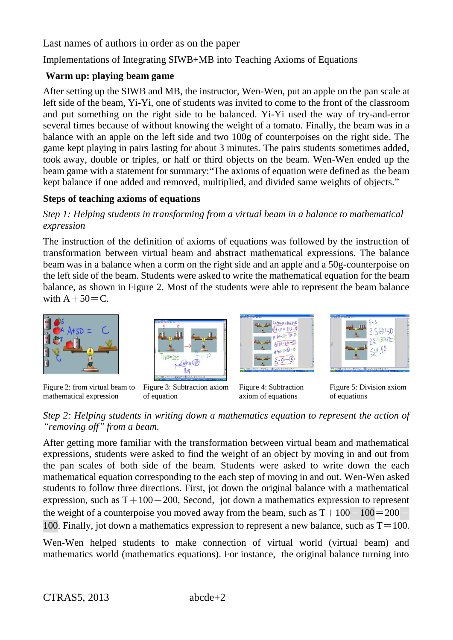Implementations of Integrating SIWB+MB into Teaching Axioms of Equations

# **Warm up: playing beam game**

After setting up the SIWB and MB, the instructor, Wen-Wen, put an apple on the pan scale at left side of the beam, Yi-Yi, one of students was invited to come to the front of the classroom and put something on the right side to be balanced. Yi-Yi used the way of try-and-error several times because of without knowing the weight of a tomato. Finally, the beam was in a balance with an apple on the left side and two 100g of counterpoises on the right side. The game kept playing in pairs lasting for about 3 minutes. The pairs students sometimes added, took away, double or triples, or half or third objects on the beam. Wen-Wen ended up the beam game with a statement for summary: "The axioms of equation were defined as the beam kept balance if one added and removed, multiplied, and divided same weights of objects."

## **Steps of teaching axioms of equations**

# *Step 1: Helping students in transforming from a virtual beam in a balance to mathematical expression*

The instruction of the definition of axioms of equations was followed by the instruction of transformation between virtual beam and abstract mathematical expressions. The balance beam was in a balance when a corm on the right side and an apple and a 50g-counterpoise on the left side of the beam. Students were asked to write the mathematical equation for the beam balance, as shown in Figure 2. Most of the students were able to represent the beam balance with  $A+50=C$ .



Figure 2: from virtual beam to mathematical expression



of equation







Figure 5: Division axiom of equations

## *Step 2: Helping students in writing down a mathematics equation to represent the action of "removing off" from a beam.*

After getting more familiar with the transformation between virtual beam and mathematical expressions, students were asked to find the weight of an object by moving in and out from the pan scales of both side of the beam. Students were asked to write down the each mathematical equation corresponding to the each step of moving in and out. Wen-Wen asked students to follow three directions. First, jot down the original balance with a mathematical expression, such as  $T+100=200$ , Second, jot down a mathematics expression to represent the weight of a counterpoise you moved away from the beam, such as  $T+100-100=200-$ 100. Finally, jot down a mathematics expression to represent a new balance, such as  $T=100$ .

Wen-Wen helped students to make connection of virtual world (virtual beam) and mathematics world (mathematics equations). For instance, the original balance turning into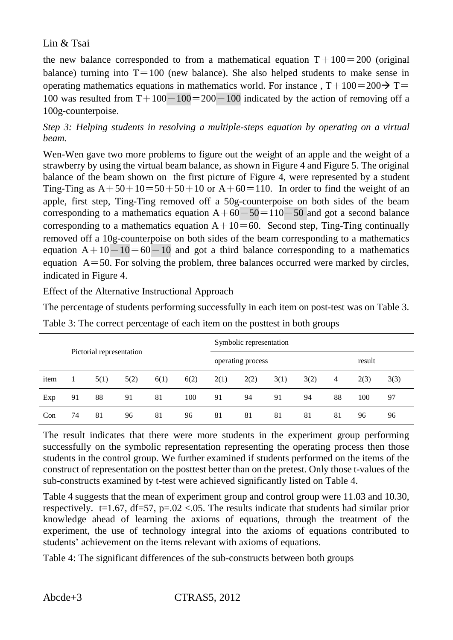the new balance corresponded to from a mathematical equation  $T+100=200$  (original balance) turning into  $T=100$  (new balance). She also helped students to make sense in operating mathematics equations in mathematics world. For instance ,  $T+100=200 \rightarrow T=$ 100 was resulted from  $T+100-100=200-100$  indicated by the action of removing off a 100g-counterpoise.

*Step 3: Helping students in resolving a multiple-steps equation by operating on a virtual beam.* 

Wen-Wen gave two more problems to figure out the weight of an apple and the weight of a strawberry by using the virtual beam balance, as shown in Figure 4 and Figure 5. The original balance of the beam shown on the first picture of Figure 4, were represented by a student Ting-Ting as  $A+50+10=50+50+10$  or  $A+60=110$ . In order to find the weight of an apple, first step, Ting-Ting removed off a 50g-counterpoise on both sides of the beam corresponding to a mathematics equation  $A+60-50=110-50$  and got a second balance corresponding to a mathematics equation  $A+10=60$ . Second step, Ting-Ting continually removed off a 10g-counterpoise on both sides of the beam corresponding to a mathematics equation  $A+10-10=60-10$  and got a third balance corresponding to a mathematics equation  $A = 50$ . For solving the problem, three balances occurred were marked by circles, indicated in Figure 4.

Effect of the Alternative Instructional Approach

The percentage of students performing successfully in each item on post-test was on Table 3.

|      |                          |      |      |      |      | Symbolic representation |                   |        |      |    |      |      |  |
|------|--------------------------|------|------|------|------|-------------------------|-------------------|--------|------|----|------|------|--|
|      | Pictorial representation |      |      |      |      |                         | operating process | result |      |    |      |      |  |
| item |                          | 5(1) | 5(2) | 6(1) | 6(2) | 2(1)                    | 2(2)              | 3(1)   | 3(2) | 4  | 2(3) | 3(3) |  |
| Exp  | 91                       | 88   | 91   | 81   | 100  | 91                      | 94                | 91     | 94   | 88 | 100  | 97   |  |
| Con  | 74                       | 81   | 96   | 81   | 96   | 81                      | 81                | 81     | 81   | 81 | 96   | 96   |  |

Table 3: The correct percentage of each item on the posttest in both groups

The result indicates that there were more students in the experiment group performing successfully on the symbolic representation representing the operating process then those students in the control group. We further examined if students performed on the items of the construct of representation on the posttest better than on the pretest. Only those t-values of the sub-constructs examined by t-test were achieved significantly listed on Table 4.

Table 4 suggests that the mean of experiment group and control group were 11.03 and 10.30, respectively. t=1.67, df=57, p=.02 <.05. The results indicate that students had similar prior knowledge ahead of learning the axioms of equations, through the treatment of the experiment, the use of technology integral into the axioms of equations contributed to students' achievement on the items relevant with axioms of equations.

Table 4: The significant differences of the sub-constructs between both groups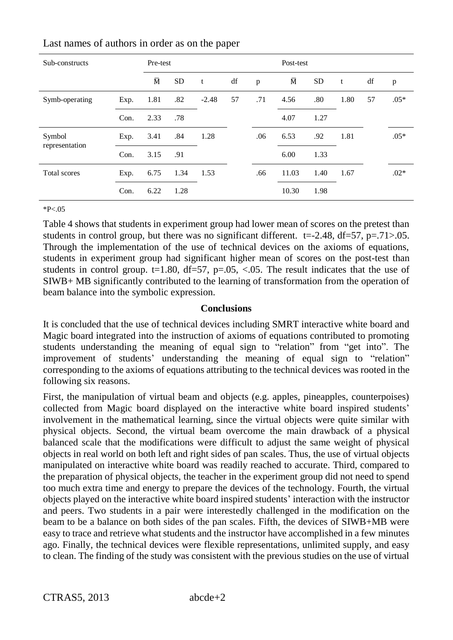| Sub-constructs | Pre-test |                       |           |         |    | Post-test |                |           |      |    |        |
|----------------|----------|-----------------------|-----------|---------|----|-----------|----------------|-----------|------|----|--------|
|                |          | $\overline{\text{M}}$ | <b>SD</b> | t       | df | p         | $\overline{M}$ | <b>SD</b> | t    | df | p      |
| Symb-operating | Exp.     | 1.81                  | .82       | $-2.48$ | 57 | .71       | 4.56           | .80       | 1.80 | 57 | $.05*$ |
|                | Con.     | 2.33                  | .78       |         |    |           | 4.07           | 1.27      |      |    |        |
| Symbol         | Exp.     | 3.41                  | .84       | 1.28    |    | .06       | 6.53           | .92       | 1.81 |    | $.05*$ |
| representation | Con.     | 3.15                  | .91       |         |    |           | 6.00           | 1.33      |      |    |        |
| Total scores   | Exp.     | 6.75                  | 1.34      | 1.53    |    | .66       | 11.03          | 1.40      | 1.67 |    | $.02*$ |
|                | Con.     | 6.22                  | 1.28      |         |    |           | 10.30          | 1.98      |      |    |        |

 $*P<.05$ 

Table 4 shows that students in experiment group had lower mean of scores on the pretest than students in control group, but there was no significant different.  $t=-2.48$ ,  $df=57$ ,  $p=.71>0.05$ . Through the implementation of the use of technical devices on the axioms of equations, students in experiment group had significant higher mean of scores on the post-test than students in control group.  $t=1.80$ ,  $df=57$ ,  $p=.05$ ,  $\leq .05$ . The result indicates that the use of SIWB+ MB significantly contributed to the learning of transformation from the operation of beam balance into the symbolic expression.

#### **Conclusions**

It is concluded that the use of technical devices including SMRT interactive white board and Magic board integrated into the instruction of axioms of equations contributed to promoting students understanding the meaning of equal sign to "relation" from "get into". The improvement of students' understanding the meaning of equal sign to "relation" corresponding to the axioms of equations attributing to the technical devices was rooted in the following six reasons.

First, the manipulation of virtual beam and objects (e.g. apples, pineapples, counterpoises) collected from Magic board displayed on the interactive white board inspired students' involvement in the mathematical learning, since the virtual objects were quite similar with physical objects. Second, the virtual beam overcome the main drawback of a physical balanced scale that the modifications were difficult to adjust the same weight of physical objects in real world on both left and right sides of pan scales. Thus, the use of virtual objects manipulated on interactive white board was readily reached to accurate. Third, compared to the preparation of physical objects, the teacher in the experiment group did not need to spend too much extra time and energy to prepare the devices of the technology. Fourth, the virtual objects played on the interactive white board inspired students' interaction with the instructor and peers. Two students in a pair were interestedly challenged in the modification on the beam to be a balance on both sides of the pan scales. Fifth, the devices of SIWB+MB were easy to trace and retrieve what students and the instructor have accomplished in a few minutes ago. Finally, the technical devices were flexible representations, unlimited supply, and easy to clean. The finding of the study was consistent with the previous studies on the use of virtual